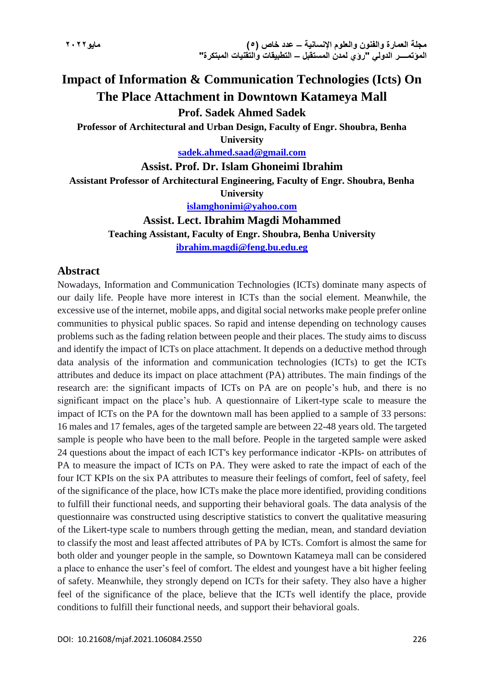# **Impact of Information & Communication Technologies (Icts) On The Place Attachment in Downtown Katameya Mall**

**Prof. Sadek Ahmed Sadek**

**Professor of Architectural and Urban Design, Faculty of Engr. Shoubra, Benha University**

**[sadek.ahmed.saad@gmail.com](mailto:sadek.ahmed.saad@gmail.com)**

**Assist. Prof. Dr. Islam Ghoneimi Ibrahim**

**Assistant Professor of Architectural Engineering, Faculty of Engr. Shoubra, Benha University**

**[islamghonimi@yahoo.com](mailto:islamghonimi@yahoo.com)**

**Assist. Lect. Ibrahim Magdi Mohammed**

**Teaching Assistant, Faculty of Engr. Shoubra, Benha University [ibrahim.magdi@feng.bu.edu.eg](mailto:ibrahim.magdi@feng.bu.edu.eg)**

### **Abstract**

Nowadays, Information and Communication Technologies (ICTs) dominate many aspects of our daily life. People have more interest in ICTs than the social element. Meanwhile, the excessive use of the internet, mobile apps, and digital social networks make people prefer online communities to physical public spaces. So rapid and intense depending on technology causes problems such as the fading relation between people and their places. The study aims to discuss and identify the impact of ICTs on place attachment. It depends on a deductive method through data analysis of the information and communication technologies (ICTs) to get the ICTs attributes and deduce its impact on place attachment (PA) attributes. The main findings of the research are: the significant impacts of ICTs on PA are on people's hub, and there is no significant impact on the place's hub. A questionnaire of Likert-type scale to measure the impact of ICTs on the PA for the downtown mall has been applied to a sample of 33 persons: 16 males and 17 females, ages of the targeted sample are between 22-48 years old. The targeted sample is people who have been to the mall before. People in the targeted sample were asked 24 questions about the impact of each ICT's key performance indicator -KPIs- on attributes of PA to measure the impact of ICTs on PA. They were asked to rate the impact of each of the four ICT KPIs on the six PA attributes to measure their feelings of comfort, feel of safety, feel of the significance of the place, how ICTs make the place more identified, providing conditions to fulfill their functional needs, and supporting their behavioral goals. The data analysis of the questionnaire was constructed using descriptive statistics to convert the qualitative measuring of the Likert-type scale to numbers through getting the median, mean, and standard deviation to classify the most and least affected attributes of PA by ICTs. Comfort is almost the same for both older and younger people in the sample, so Downtown Katameya mall can be considered a place to enhance the user's feel of comfort. The eldest and youngest have a bit higher feeling of safety. Meanwhile, they strongly depend on ICTs for their safety. They also have a higher feel of the significance of the place, believe that the ICTs well identify the place, provide conditions to fulfill their functional needs, and support their behavioral goals.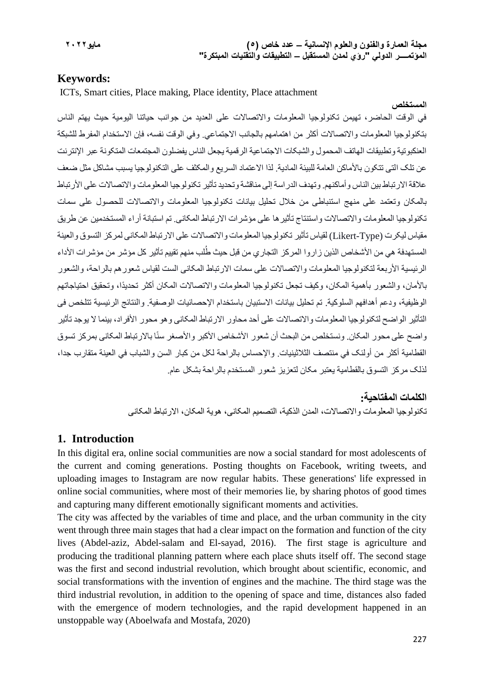### **Keywords:**

ICTs, Smart cities, Place making, Place identity, Place attachment

**المستخلص** في الوقت الحاضر، تهيمن تکنولوجيا المعلومات واالتصاالت على العديد من جوانب حياتنا اليومية حيث يهتم الناس بتکنولوجيا المعلومات واالتصاالت أکثر من اهتمامهم بالجانب االجتماعي. وفي الوقت نفسه، فإن االستخدام المفرط للشبكة العنكبوتية وتطبيقات الهاتف المحمول والشبکات االجتماعية الرقمية يجعل الناس يفضلون المجتمعات المتکونة عبر اإلنترنت عن تلک التى تتکون باألماکن العامة للبيئة المادية. لذا االعتماد السريع والمکثف على التکنولوجيا يسبب مشاکل مثل ضعف علاقة الارتباط بين الناس وأماكنهم. وتهدف الدراسة إلى مناقشة وتحديد تأثير تكنولوجيا المعلومات والاتصالات على الأرتباط بالمکان وتعتمد على منهج استنباطى من خالل تحليل بيانات تکنولوجيا المعلومات واالتصاالت للحصول على سمات تکنولوجيا المعلومات والاتصالات واستنتاج تأثير ها على مؤشر ات الار تباط المکانى. تم استبانة أر اء المستخدمين عن طريق مقياس ليکرت (Type-Likert (لقياس تأثير تکنولوجيا المعلومات واالتصاالت على االرتباط المکانى لمرکز التسوق والعينة المستهدفة هي من الأشخاص الذين ز اروا المركز التجاري من قبل حيث طُلب منهم تقييم تأثير كل مؤشر من مؤشر ات الأداء الرئيسية الأربعة لتكنولوجيا المعلومات والاتصالات على سمات الارتباط المكانى الست لقياس شعورهم بالراحة، والشعور بالأمان، والشعور بأهمية المکان، وکيف تجعل تکنولوجيا المعلومات والاتصالات المکان أکثر تحديدًا، وتحقيق احتياجاتهم الوظيفية، ودعم أهدافهم السلوکية. تم تحليل بيانات االستبيان باستخدام اإلحصائيات الوصفية. والنتائج الرئيسية تتلخص فى التأثير الواضح لتکنولوجيا المعلومات واالتصاالت على أحد محاور االرتباط المکانى وهو محور األفراد، بينما ال يوجد تأثير واضح على محور المكان. ونستخلص من البحث أن شعور الأشخاص الأكبر والأصغر سنًا بالارتباط المكانى بمركز تسوق القطامية أکثر من أولئک في منتصف الثالثينيات. واإلحساس بالراحة لکل من کبار السن والشباب في العينة متقارب جدا، لذلک مرکز التسوق بالقطامية يعتبر مکان لتعزيز شعور المستخدم بالراحة بشکل عام.

> **الكلمات المفتاحية:**  تکنولوجيا المعلومات واالتصاالت، المدن الذکية، التصميم المکانى، هوية المکان، االرتباط المکانى

### **1. Introduction**

In this digital era, online social communities are now a social standard for most adolescents of the current and coming generations. Posting thoughts on Facebook, writing tweets, and uploading images to Instagram are now regular habits. These generations' life expressed in online social communities, where most of their memories lie, by sharing photos of good times and capturing many different emotionally significant moments and activities.

The city was affected by the variables of time and place, and the urban community in the city went through three main stages that had a clear impact on the formation and function of the city lives (Abdel-aziz, Abdel-salam and El-sayad, 2016). The first stage is agriculture and producing the traditional planning pattern where each place shuts itself off. The second stage was the first and second industrial revolution, which brought about scientific, economic, and social transformations with the invention of engines and the machine. The third stage was the third industrial revolution, in addition to the opening of space and time, distances also faded with the emergence of modern technologies, and the rapid development happened in an unstoppable way (Aboelwafa and Mostafa, 2020)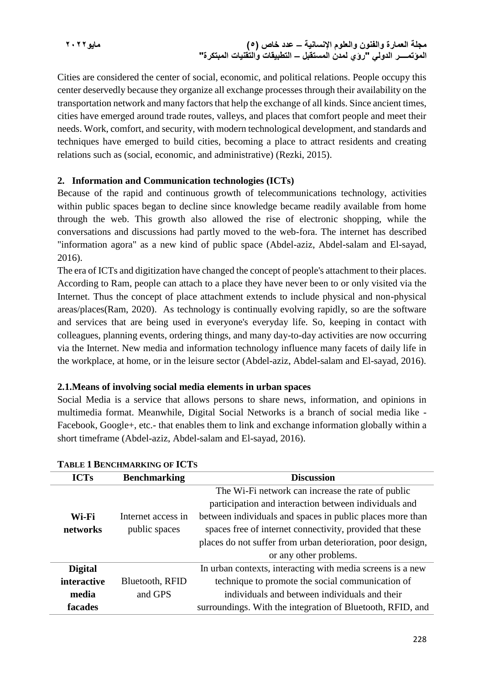**مجلة العمارة والفنون والعلوم اإلنسانية – عدد خاص )5( مايو2022 المؤتمــــر الدولي "رؤي لمدن المستقبل – التطبيقات والتقنيات المبتكرة"**

Cities are considered the center of social, economic, and political relations. People occupy this center deservedly because they organize all exchange processes through their availability on the transportation network and many factors that help the exchange of all kinds. Since ancient times, cities have emerged around trade routes, valleys, and places that comfort people and meet their needs. Work, comfort, and security, with modern technological development, and standards and techniques have emerged to build cities, becoming a place to attract residents and creating relations such as (social, economic, and administrative) (Rezki, 2015).

### **2. Information and Communication technologies (ICTs)**

Because of the rapid and continuous growth of telecommunications technology, activities within public spaces began to decline since knowledge became readily available from home through the web. This growth also allowed the rise of electronic shopping, while the conversations and discussions had partly moved to the web-fora. The internet has described "information agora" as a new kind of public space (Abdel-aziz, Abdel-salam and El-sayad, 2016).

The era of ICTs and digitization have changed the concept of people's attachment to their places. According to Ram, people can attach to a place they have never been to or only visited via the Internet. Thus the concept of place attachment extends to include physical and non-physical areas/places(Ram, 2020). As technology is continually evolving rapidly, so are the software and services that are being used in everyone's everyday life. So, keeping in contact with colleagues, planning events, ordering things, and many day-to-day activities are now occurring via the Internet. New media and information technology influence many facets of daily life in the workplace, at home, or in the leisure sector (Abdel-aziz, Abdel-salam and El-sayad, 2016).

### **2.1.Means of involving social media elements in urban spaces**

Social Media is a service that allows persons to share news, information, and opinions in multimedia format. Meanwhile, Digital Social Networks is a branch of social media like - Facebook, Google+, etc.- that enables them to link and exchange information globally within a short timeframe (Abdel-aziz, Abdel-salam and El-sayad, 2016).

| <b>ICTs</b>    | <b>Benchmarking</b>                                                             | <b>Discussion</b>                                           |  |  |  |
|----------------|---------------------------------------------------------------------------------|-------------------------------------------------------------|--|--|--|
|                |                                                                                 | The Wi-Fi network can increase the rate of public           |  |  |  |
|                |                                                                                 | participation and interaction between individuals and       |  |  |  |
| Wi-Fi          | between individuals and spaces in public places more than<br>Internet access in |                                                             |  |  |  |
| networks       | public spaces                                                                   | spaces free of internet connectivity, provided that these   |  |  |  |
|                |                                                                                 | places do not suffer from urban deterioration, poor design, |  |  |  |
|                |                                                                                 | or any other problems.                                      |  |  |  |
| <b>Digital</b> |                                                                                 | In urban contexts, interacting with media screens is a new  |  |  |  |
| interactive    | Bluetooth, RFID                                                                 | technique to promote the social communication of            |  |  |  |
| media          | and GPS                                                                         | individuals and between individuals and their               |  |  |  |
| facades        |                                                                                 | surroundings. With the integration of Bluetooth, RFID, and  |  |  |  |

### **TABLE 1 BENCHMARKING OF ICTS**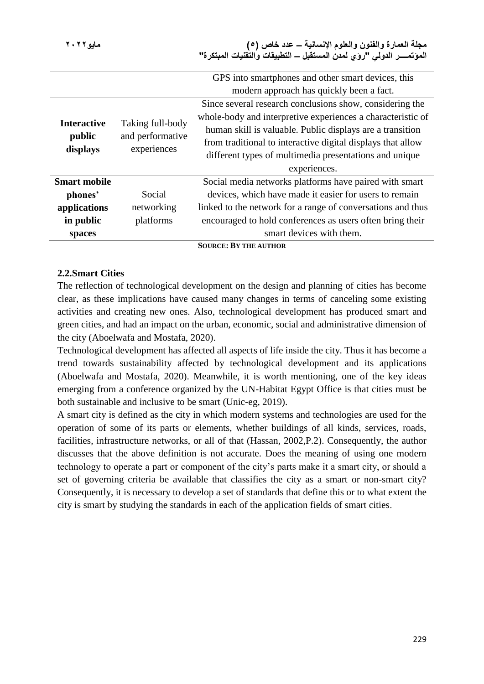| مايو ٢٠٢.٢                               |                                                     | مجلة العمارة والفنون والعلوم الإنسانية – عدد خاص (٥)<br>الموتمــــــــــر الدولي "روّي لمدن المستقبل – التطبيقات والتقنيات المبتكرة"                                                                                                                                                                                          |
|------------------------------------------|-----------------------------------------------------|-------------------------------------------------------------------------------------------------------------------------------------------------------------------------------------------------------------------------------------------------------------------------------------------------------------------------------|
|                                          |                                                     | GPS into smartphones and other smart devices, this                                                                                                                                                                                                                                                                            |
|                                          |                                                     | modern approach has quickly been a fact.                                                                                                                                                                                                                                                                                      |
| <b>Interactive</b><br>public<br>displays | Taking full-body<br>and performative<br>experiences | Since several research conclusions show, considering the<br>whole-body and interpretive experiences a characteristic of<br>human skill is valuable. Public displays are a transition<br>from traditional to interactive digital displays that allow<br>different types of multimedia presentations and unique<br>experiences. |
| <b>Smart mobile</b>                      |                                                     | Social media networks platforms have paired with smart                                                                                                                                                                                                                                                                        |
| phones'                                  | Social                                              | devices, which have made it easier for users to remain                                                                                                                                                                                                                                                                        |
| applications                             | networking                                          | linked to the network for a range of conversations and thus                                                                                                                                                                                                                                                                   |
| in public                                | platforms                                           | encouraged to hold conferences as users often bring their                                                                                                                                                                                                                                                                     |
| spaces                                   |                                                     | smart devices with them.                                                                                                                                                                                                                                                                                                      |

**SOURCE: BY THE AUTHOR**

### **2.2.Smart Cities**

The reflection of technological development on the design and planning of cities has become clear, as these implications have caused many changes in terms of canceling some existing activities and creating new ones. Also, technological development has produced smart and green cities, and had an impact on the urban, economic, social and administrative dimension of the city (Aboelwafa and Mostafa, 2020).

Technological development has affected all aspects of life inside the city. Thus it has become a trend towards sustainability affected by technological development and its applications (Aboelwafa and Mostafa, 2020). Meanwhile, it is worth mentioning, one of the key ideas emerging from a conference organized by the UN-Habitat Egypt Office is that cities must be both sustainable and inclusive to be smart (Unic-eg, 2019).

A smart city is defined as the city in which modern systems and technologies are used for the operation of some of its parts or elements, whether buildings of all kinds, services, roads, facilities, infrastructure networks, or all of that (Hassan, 2002,P.2). Consequently, the author discusses that the above definition is not accurate. Does the meaning of using one modern technology to operate a part or component of the city's parts make it a smart city, or should a set of governing criteria be available that classifies the city as a smart or non-smart city? Consequently, it is necessary to develop a set of standards that define this or to what extent the city is smart by studying the standards in each of the application fields of smart cities.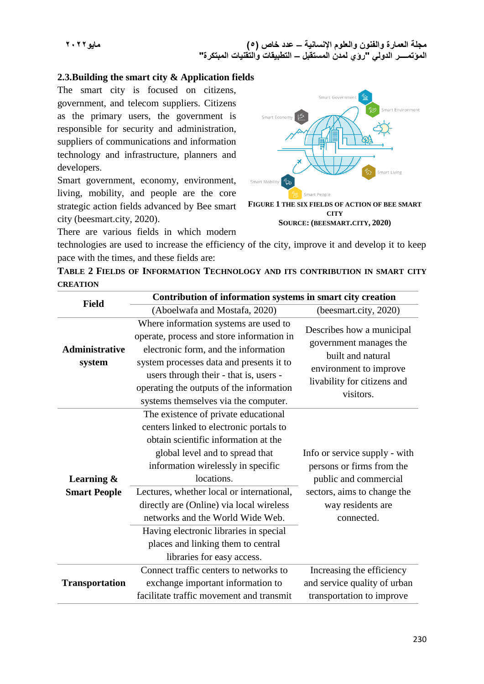### **2.3.Building the smart city & Application fields**

The smart city is focused on citizens, government, and telecom suppliers. Citizens as the primary users, the government is responsible for security and administration, suppliers of communications and information technology and infrastructure, planners and developers.

Smart government, economy, environment, living, mobility, and people are the core strategic action fields advanced by Bee smart city (beesmart.city, 2020).

There are various fields in which modern

technologies are used to increase the efficiency of the city, improve it and develop it to keep pace with the times, and these fields are:

| TABLE 2 FIELDS OF INFORMATION TECHNOLOGY AND ITS CONTRIBUTION IN SMART CITY |  |  |  |
|-----------------------------------------------------------------------------|--|--|--|
| <b>CREATION</b>                                                             |  |  |  |

| <b>Field</b>                         | Contribution of information systems in smart city creation                                                                                                                                                                                                                                                                                                                                                                                                |                                                                                                                                                       |  |  |  |  |
|--------------------------------------|-----------------------------------------------------------------------------------------------------------------------------------------------------------------------------------------------------------------------------------------------------------------------------------------------------------------------------------------------------------------------------------------------------------------------------------------------------------|-------------------------------------------------------------------------------------------------------------------------------------------------------|--|--|--|--|
|                                      | (Aboelwafa and Mostafa, 2020)                                                                                                                                                                                                                                                                                                                                                                                                                             | (beesmart.city, 2020)                                                                                                                                 |  |  |  |  |
| <b>Administrative</b><br>system      | Where information systems are used to<br>operate, process and store information in<br>electronic form, and the information<br>system processes data and presents it to<br>users through their - that is, users -<br>operating the outputs of the information<br>systems themselves via the computer.                                                                                                                                                      | Describes how a municipal<br>government manages the<br>built and natural<br>environment to improve<br>livability for citizens and<br>visitors.        |  |  |  |  |
| Learning $\&$<br><b>Smart People</b> | The existence of private educational<br>centers linked to electronic portals to<br>obtain scientific information at the<br>global level and to spread that<br>information wirelessly in specific<br>locations.<br>Lectures, whether local or international,<br>directly are (Online) via local wireless<br>networks and the World Wide Web.<br>Having electronic libraries in special<br>places and linking them to central<br>libraries for easy access. | Info or service supply - with<br>persons or firms from the<br>public and commercial<br>sectors, aims to change the<br>way residents are<br>connected. |  |  |  |  |
| <b>Transportation</b>                | Connect traffic centers to networks to<br>exchange important information to<br>facilitate traffic movement and transmit                                                                                                                                                                                                                                                                                                                                   | Increasing the efficiency<br>and service quality of urban<br>transportation to improve                                                                |  |  |  |  |



**FIGURE 1 THE SIX FIELDS OF ACTION OF BEE SMART CITY SOURCE: (BEESMART.CITY, 2020)**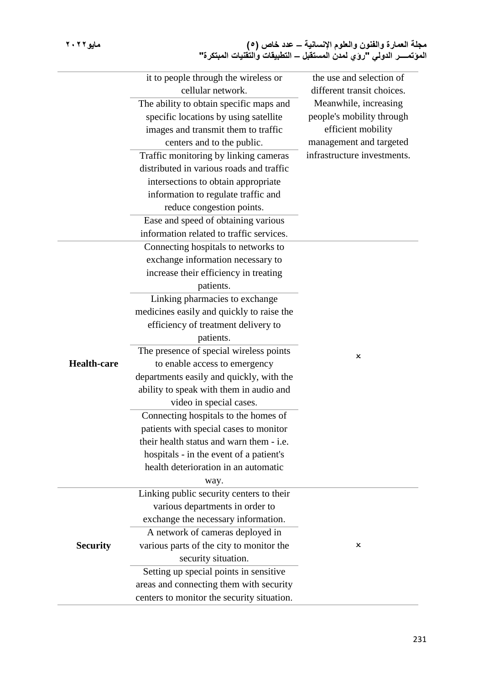|                    | it to people through the wireless or<br>cellular network. | the use and selection of<br>different transit choices. |
|--------------------|-----------------------------------------------------------|--------------------------------------------------------|
|                    | The ability to obtain specific maps and                   | Meanwhile, increasing                                  |
|                    | specific locations by using satellite                     | people's mobility through                              |
|                    | images and transmit them to traffic                       | efficient mobility                                     |
|                    | centers and to the public.                                | management and targeted                                |
|                    | Traffic monitoring by linking cameras                     | infrastructure investments.                            |
|                    | distributed in various roads and traffic                  |                                                        |
|                    | intersections to obtain appropriate                       |                                                        |
|                    | information to regulate traffic and                       |                                                        |
|                    | reduce congestion points.                                 |                                                        |
|                    | Ease and speed of obtaining various                       |                                                        |
|                    | information related to traffic services.                  |                                                        |
|                    | Connecting hospitals to networks to                       |                                                        |
|                    | exchange information necessary to                         |                                                        |
|                    | increase their efficiency in treating                     |                                                        |
|                    | patients.                                                 |                                                        |
|                    | Linking pharmacies to exchange                            |                                                        |
|                    | medicines easily and quickly to raise the                 |                                                        |
|                    | efficiency of treatment delivery to                       |                                                        |
|                    | patients.                                                 |                                                        |
|                    | The presence of special wireless points                   |                                                        |
| <b>Health-care</b> | to enable access to emergency                             | x                                                      |
|                    | departments easily and quickly, with the                  |                                                        |
|                    | ability to speak with them in audio and                   |                                                        |
|                    | video in special cases.                                   |                                                        |
|                    | Connecting hospitals to the homes of                      |                                                        |
|                    | patients with special cases to monitor                    |                                                        |
|                    | their health status and warn them - i.e.                  |                                                        |
|                    | hospitals - in the event of a patient's                   |                                                        |
|                    | health deterioration in an automatic                      |                                                        |
|                    | way.                                                      |                                                        |
|                    | Linking public security centers to their                  |                                                        |
|                    | various departments in order to                           |                                                        |
|                    | exchange the necessary information.                       |                                                        |
|                    | A network of cameras deployed in                          |                                                        |
| <b>Security</b>    | various parts of the city to monitor the                  | x                                                      |
|                    | security situation.                                       |                                                        |
|                    | Setting up special points in sensitive                    |                                                        |
|                    | areas and connecting them with security                   |                                                        |
|                    | centers to monitor the security situation.                |                                                        |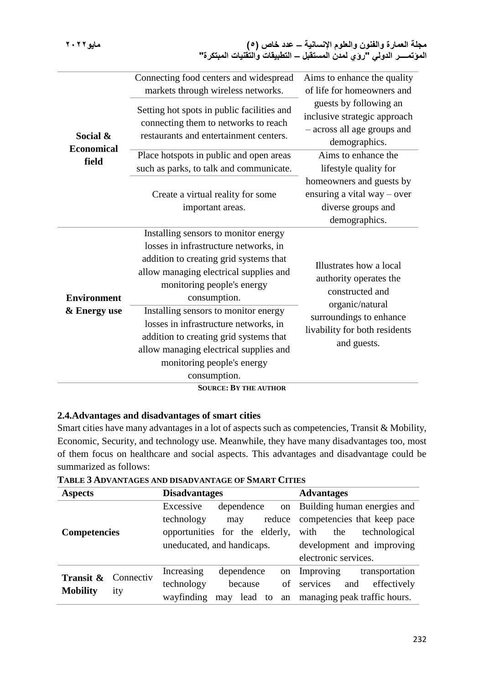| Social &                           | Connecting food centers and widespread<br>markets through wireless networks.                                                                                                                                                                                                                                                                                                                                                       | Aims to enhance the quality<br>of life for homeowners and                                                                                                          |  |
|------------------------------------|------------------------------------------------------------------------------------------------------------------------------------------------------------------------------------------------------------------------------------------------------------------------------------------------------------------------------------------------------------------------------------------------------------------------------------|--------------------------------------------------------------------------------------------------------------------------------------------------------------------|--|
|                                    | Setting hot spots in public facilities and<br>connecting them to networks to reach<br>restaurants and entertainment centers.                                                                                                                                                                                                                                                                                                       | guests by following an<br>inclusive strategic approach<br>- across all age groups and<br>demographics.                                                             |  |
| <b>Economical</b><br>field         | Place hotspots in public and open areas<br>such as parks, to talk and communicate.                                                                                                                                                                                                                                                                                                                                                 | Aims to enhance the<br>lifestyle quality for                                                                                                                       |  |
|                                    | Create a virtual reality for some<br>important areas.                                                                                                                                                                                                                                                                                                                                                                              | homeowners and guests by<br>ensuring a vital way - over<br>diverse groups and<br>demographics.                                                                     |  |
| <b>Environment</b><br>& Energy use | Installing sensors to monitor energy<br>losses in infrastructure networks, in<br>addition to creating grid systems that<br>allow managing electrical supplies and<br>monitoring people's energy<br>consumption.<br>Installing sensors to monitor energy<br>losses in infrastructure networks, in<br>addition to creating grid systems that<br>allow managing electrical supplies and<br>monitoring people's energy<br>consumption. | Illustrates how a local<br>authority operates the<br>constructed and<br>organic/natural<br>surroundings to enhance<br>livability for both residents<br>and guests. |  |
|                                    | <b>SOURCE: BY THE AUTHOR</b>                                                                                                                                                                                                                                                                                                                                                                                                       |                                                                                                                                                                    |  |

### **2.4.Advantages and disadvantages of smart cities**

Smart cities have many advantages in a lot of aspects such as competencies, Transit & Mobility, Economic, Security, and technology use. Meanwhile, they have many disadvantages too, most of them focus on healthcare and social aspects. This advantages and disadvantage could be summarized as follows:

| <b>Aspects</b>               |                  | <b>Disadvantages</b>                                         |                                               | <b>Advantages</b>                                                                                   |  |
|------------------------------|------------------|--------------------------------------------------------------|-----------------------------------------------|-----------------------------------------------------------------------------------------------------|--|
| <b>Competencies</b>          |                  | Excessive<br>technology                                      | dependence<br>reduce<br>may                   | on Building human energies and<br>competencies that keep pace                                       |  |
|                              |                  | opportunities for the elderly,<br>uneducated, and handicaps. |                                               | with<br>technological<br>the<br>development and improving<br>electronic services.                   |  |
| Transit &<br><b>Mobility</b> | Connectiv<br>ity | Increasing<br>technology<br>wayfinding                       | dependence<br>because<br>lead to<br>an<br>may | on Improving<br>transportation<br>of services<br>and<br>effectively<br>managing peak traffic hours. |  |

**TABLE 3 ADVANTAGES AND DISADVANTAGE OF SMART CITIES**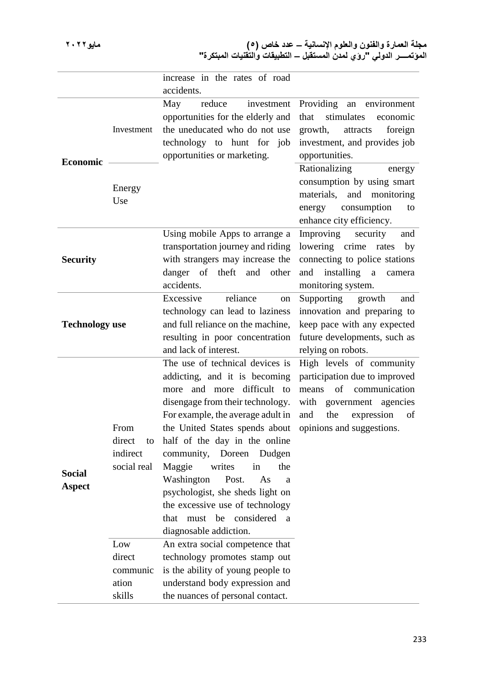|                                |                                                                                                 | increase in the rates of road                                                                                                                                                                                                                                                                                                                                                                                                                                                                                                                                                                                                                             |                                                                                                                                                                                      |
|--------------------------------|-------------------------------------------------------------------------------------------------|-----------------------------------------------------------------------------------------------------------------------------------------------------------------------------------------------------------------------------------------------------------------------------------------------------------------------------------------------------------------------------------------------------------------------------------------------------------------------------------------------------------------------------------------------------------------------------------------------------------------------------------------------------------|--------------------------------------------------------------------------------------------------------------------------------------------------------------------------------------|
|                                |                                                                                                 | accidents.                                                                                                                                                                                                                                                                                                                                                                                                                                                                                                                                                                                                                                                |                                                                                                                                                                                      |
| <b>Economic</b>                | Investment                                                                                      | reduce<br>investment<br>May<br>opportunities for the elderly and<br>the uneducated who do not use<br>technology to hunt for job<br>opportunities or marketing.                                                                                                                                                                                                                                                                                                                                                                                                                                                                                            | Providing<br>an environment<br>stimulates<br>that<br>economic<br>growth,<br>attracts<br>foreign<br>investment, and provides job<br>opportunities.                                    |
|                                | Energy<br>Use                                                                                   |                                                                                                                                                                                                                                                                                                                                                                                                                                                                                                                                                                                                                                                           | Rationalizing<br>energy<br>consumption by using smart<br>materials, and monitoring<br>consumption<br>energy<br>to<br>enhance city efficiency.                                        |
| <b>Security</b>                |                                                                                                 | Using mobile Apps to arrange a<br>transportation journey and riding<br>with strangers may increase the<br>danger of theft and<br>other<br>accidents.                                                                                                                                                                                                                                                                                                                                                                                                                                                                                                      | Improving<br>security<br>and<br>lowering crime rates<br>by<br>connecting to police stations<br>and installing a<br>camera<br>monitoring system.                                      |
| <b>Technology</b> use          |                                                                                                 | Excessive<br>reliance<br>on<br>technology can lead to laziness<br>and full reliance on the machine,<br>resulting in poor concentration<br>and lack of interest.                                                                                                                                                                                                                                                                                                                                                                                                                                                                                           | Supporting growth<br>and<br>innovation and preparing to<br>keep pace with any expected<br>future developments, such as<br>relying on robots.                                         |
| <b>Social</b><br><b>Aspect</b> | From<br>direct<br>to<br>indirect<br>social real<br>Low<br>direct<br>communic<br>ation<br>skills | The use of technical devices is<br>addicting, and it is becoming<br>and more difficult to<br>more<br>disengage from their technology.<br>For example, the average adult in<br>the United States spends about<br>half of the day in the online<br>community, Doreen Dudgen<br>Maggie<br>writes<br>in<br>the<br>Washington<br>Post.<br>As<br>a<br>psychologist, she sheds light on<br>the excessive use of technology<br>that must be considered a<br>diagnosable addiction.<br>An extra social competence that<br>technology promotes stamp out<br>is the ability of young people to<br>understand body expression and<br>the nuances of personal contact. | High levels of community<br>participation due to improved<br>of<br>communication<br>means<br>with government agencies<br>and<br>expression<br>the<br>of<br>opinions and suggestions. |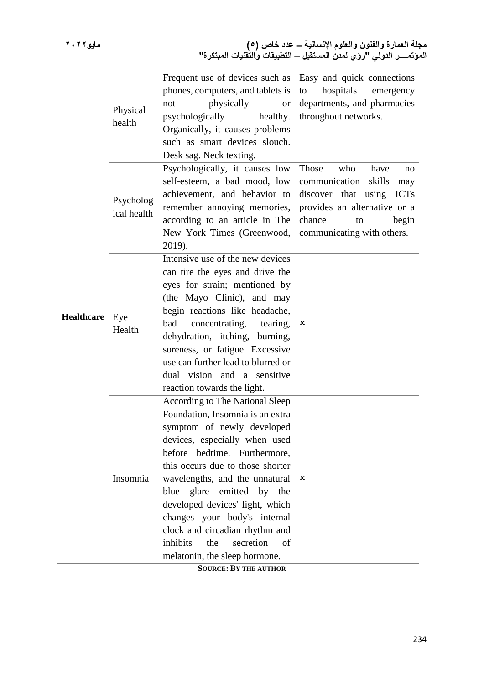|            |               | Frequent use of devices such as Easy and quick connections |                                    |
|------------|---------------|------------------------------------------------------------|------------------------------------|
|            |               | phones, computers, and tablets is                          | hospitals<br>to<br>emergency       |
|            | Physical      | physically<br>not<br><b>or</b>                             | departments, and pharmacies        |
|            | health        | psychologically<br>healthy.                                | throughout networks.               |
|            |               | Organically, it causes problems                            |                                    |
|            |               | such as smart devices slouch.                              |                                    |
|            |               | Desk sag. Neck texting.                                    |                                    |
|            |               | Psychologically, it causes low                             | Those<br>who<br>have<br>no         |
|            |               | self-esteem, a bad mood, low                               | communication skills<br>may        |
|            | Psycholog     | achievement, and behavior to                               | discover that using<br><b>ICTs</b> |
|            | ical health   | remember annoying memories,                                | provides an alternative or a       |
|            |               | according to an article in The                             | chance<br>begin<br>to              |
|            |               | New York Times (Greenwood,                                 | communicating with others.         |
|            |               | 2019).                                                     |                                    |
|            |               | Intensive use of the new devices                           |                                    |
|            | Eye<br>Health | can tire the eyes and drive the                            |                                    |
|            |               | eyes for strain; mentioned by                              |                                    |
|            |               | (the Mayo Clinic), and may                                 |                                    |
| Healthcare |               | begin reactions like headache,                             |                                    |
|            |               | concentrating,<br>bad<br>tearing,                          | x                                  |
|            |               | dehydration, itching, burning,                             |                                    |
|            |               | soreness, or fatigue. Excessive                            |                                    |
|            |               | use can further lead to blurred or                         |                                    |
|            |               | dual vision and a sensitive                                |                                    |
|            |               | reaction towards the light.                                |                                    |
|            |               | <b>According to The National Sleep</b>                     |                                    |
|            |               | Foundation, Insomnia is an extra                           |                                    |
|            |               | symptom of newly developed                                 |                                    |
|            |               | devices, especially when used                              |                                    |
|            |               | before bedtime. Furthermore,                               |                                    |
|            |               | this occurs due to those shorter                           |                                    |
|            | Insomnia      | wavelengths, and the unnatural                             | x                                  |
|            |               | blue glare emitted by the                                  |                                    |
|            |               | developed devices' light, which                            |                                    |
|            |               | changes your body's internal                               |                                    |
|            |               | clock and circadian rhythm and                             |                                    |
|            |               | inhibits<br>secretion<br>the<br>of                         |                                    |
|            |               | melatonin, the sleep hormone.                              |                                    |
|            |               | <b>SOURCE: BY THE AUTHOR</b>                               |                                    |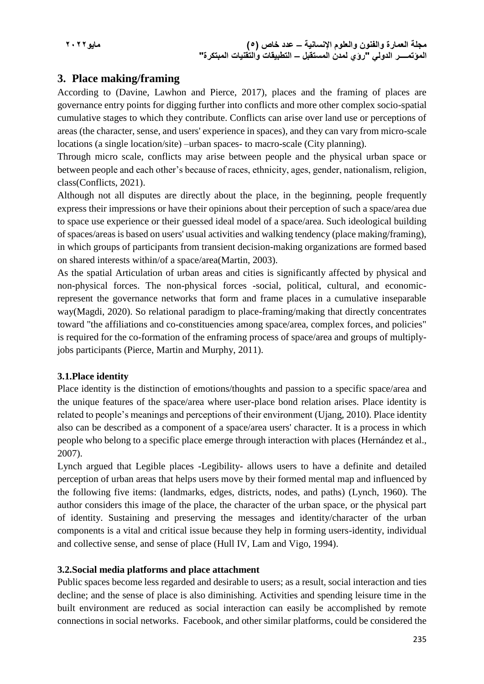# **3. Place making/framing**

According to (Davine, Lawhon and Pierce, 2017), places and the framing of places are governance entry points for digging further into conflicts and more other complex socio-spatial cumulative stages to which they contribute. Conflicts can arise over land use or perceptions of areas (the character, sense, and users' experience in spaces), and they can vary from micro-scale locations (a single location/site) –urban spaces- to macro-scale (City planning).

Through micro scale, conflicts may arise between people and the physical urban space or between people and each other's because of races, ethnicity, ages, gender, nationalism, religion, class(Conflicts, 2021).

Although not all disputes are directly about the place, in the beginning, people frequently express their impressions or have their opinions about their perception of such a space/area due to space use experience or their guessed ideal model of a space/area. Such ideological building of spaces/areas is based on users' usual activities and walking tendency (place making/framing), in which groups of participants from transient decision-making organizations are formed based on shared interests within/of a space/area(Martin, 2003).

As the spatial Articulation of urban areas and cities is significantly affected by physical and non-physical forces. The non-physical forces -social, political, cultural, and economicrepresent the governance networks that form and frame places in a cumulative inseparable way(Magdi, 2020). So relational paradigm to place-framing/making that directly concentrates toward "the affiliations and co-constituencies among space/area, complex forces, and policies" is required for the co-formation of the enframing process of space/area and groups of multiplyjobs participants (Pierce, Martin and Murphy, 2011).

### **3.1.Place identity**

Place identity is the distinction of emotions/thoughts and passion to a specific space/area and the unique features of the space/area where user-place bond relation arises. Place identity is related to people's meanings and perceptions of their environment (Ujang, 2010). Place identity also can be described as a component of a space/area users' character. It is a process in which people who belong to a specific place emerge through interaction with places (Hernández et al., 2007).

Lynch argued that Legible places -Legibility- allows users to have a definite and detailed perception of urban areas that helps users move by their formed mental map and influenced by the following five items: (landmarks, edges, districts, nodes, and paths) (Lynch, 1960). The author considers this image of the place, the character of the urban space, or the physical part of identity. Sustaining and preserving the messages and identity/character of the urban components is a vital and critical issue because they help in forming users-identity, individual and collective sense, and sense of place (Hull IV, Lam and Vigo, 1994).

### **3.2.Social media platforms and place attachment**

Public spaces become less regarded and desirable to users; as a result, social interaction and ties decline; and the sense of place is also diminishing. Activities and spending leisure time in the built environment are reduced as social interaction can easily be accomplished by remote connections in social networks. Facebook, and other similar platforms, could be considered the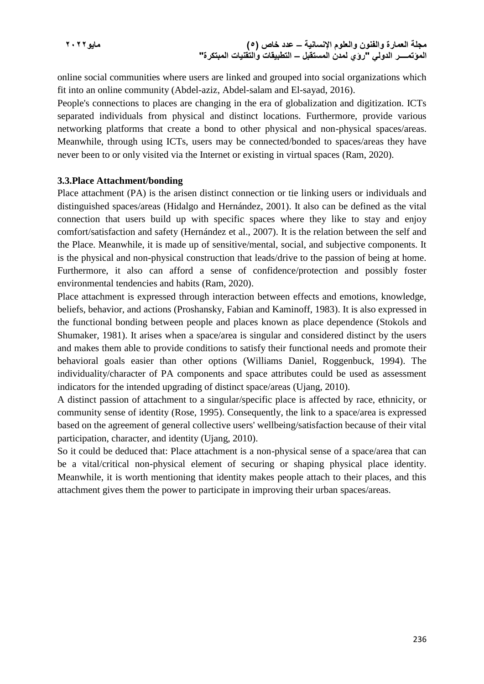**مجلة العمارة والفنون والعلوم اإلنسانية – عدد خاص )5( مايو2022 المؤتمــــر الدولي "رؤي لمدن المستقبل – التطبيقات والتقنيات المبتكرة"**

online social communities where users are linked and grouped into social organizations which fit into an online community (Abdel-aziz, Abdel-salam and El-sayad, 2016).

People's connections to places are changing in the era of globalization and digitization. ICTs separated individuals from physical and distinct locations. Furthermore, provide various networking platforms that create a bond to other physical and non-physical spaces/areas. Meanwhile, through using ICTs, users may be connected/bonded to spaces/areas they have never been to or only visited via the Internet or existing in virtual spaces (Ram, 2020).

#### **3.3.Place Attachment/bonding**

Place attachment (PA) is the arisen distinct connection or tie linking users or individuals and distinguished spaces/areas (Hidalgo and Hernández, 2001). It also can be defined as the vital connection that users build up with specific spaces where they like to stay and enjoy comfort/satisfaction and safety (Hernández et al., 2007). It is the relation between the self and the Place. Meanwhile, it is made up of sensitive/mental, social, and subjective components. It is the physical and non-physical construction that leads/drive to the passion of being at home. Furthermore, it also can afford a sense of confidence/protection and possibly foster environmental tendencies and habits (Ram, 2020).

Place attachment is expressed through interaction between effects and emotions, knowledge, beliefs, behavior, and actions (Proshansky, Fabian and Kaminoff, 1983). It is also expressed in the functional bonding between people and places known as place dependence (Stokols and Shumaker, 1981). It arises when a space/area is singular and considered distinct by the users and makes them able to provide conditions to satisfy their functional needs and promote their behavioral goals easier than other options (Williams Daniel, Roggenbuck, 1994). The individuality/character of PA components and space attributes could be used as assessment indicators for the intended upgrading of distinct space/areas (Ujang, 2010).

A distinct passion of attachment to a singular/specific place is affected by race, ethnicity, or community sense of identity (Rose, 1995). Consequently, the link to a space/area is expressed based on the agreement of general collective users' wellbeing/satisfaction because of their vital participation, character, and identity (Ujang, 2010).

So it could be deduced that: Place attachment is a non-physical sense of a space/area that can be a vital/critical non-physical element of securing or shaping physical place identity. Meanwhile, it is worth mentioning that identity makes people attach to their places, and this attachment gives them the power to participate in improving their urban spaces/areas.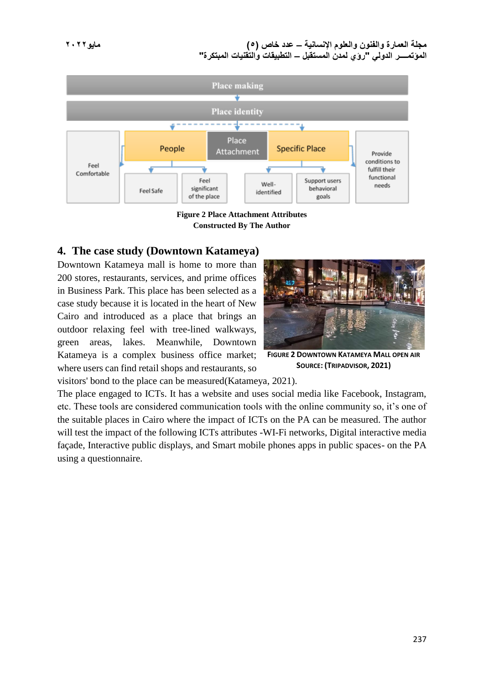

**Figure 2 Place Attachment Attributes Constructed By The Author**

# **4. The case study (Downtown Katameya)**

Downtown Katameya mall is home to more than 200 stores, restaurants, services, and prime offices in Business Park. This place has been selected as a case study because it is located in the heart of New Cairo and introduced as a place that brings an outdoor relaxing feel with tree-lined walkways, green areas, lakes. Meanwhile, Downtown Katameya is a complex business office market; where users can find retail shops and restaurants, so



**FIGURE 2 DOWNTOWN KATAMEYA MALL OPEN AIR SOURCE: (TRIPADVISOR, 2021)**

visitors' bond to the place can be measured(Katameya, 2021).

The place engaged to ICTs. It has a website and uses social media like Facebook, Instagram, etc. These tools are considered communication tools with the online community so, it's one of the suitable places in Cairo where the impact of ICTs on the PA can be measured. The author will test the impact of the following ICTs attributes -WI-Fi networks, Digital interactive media façade, Interactive public displays, and Smart mobile phones apps in public spaces- on the PA using a questionnaire.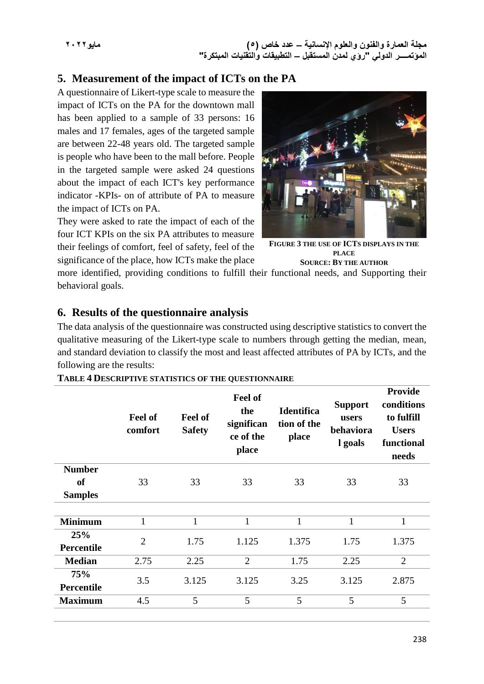# **5. Measurement of the impact of ICTs on the PA**

A questionnaire of Likert-type scale to measure the impact of ICTs on the PA for the downtown mall has been applied to a sample of 33 persons: 16 males and 17 females, ages of the targeted sample are between 22-48 years old. The targeted sample is people who have been to the mall before. People in the targeted sample were asked 24 questions about the impact of each ICT's key performance indicator -KPIs- on of attribute of PA to measure the impact of ICTs on PA.

They were asked to rate the impact of each of the four ICT KPIs on the six PA attributes to measure their feelings of comfort, feel of safety, feel of the significance of the place, how ICTs make the place



**FIGURE 3 THE USE OF ICTS DISPLAYS IN THE PLACE SOURCE: BY THE AUTHOR**

more identified, providing conditions to fulfill their functional needs, and Supporting their behavioral goals.

### **6. Results of the questionnaire analysis**

The data analysis of the questionnaire was constructed using descriptive statistics to convert the qualitative measuring of the Likert-type scale to numbers through getting the median, mean, and standard deviation to classify the most and least affected attributes of PA by ICTs, and the following are the results:

|                   | <b>Feel of</b><br>comfort | <b>Feel of</b><br><b>Safety</b> | Feel of<br>the<br>significan<br>ce of the<br>place | <b>Identifica</b><br>tion of the<br>place | <b>Support</b><br>users<br>behaviora<br>l goals | <b>Provide</b><br>conditions<br>to fulfill<br><b>Users</b><br>functional<br>needs |
|-------------------|---------------------------|---------------------------------|----------------------------------------------------|-------------------------------------------|-------------------------------------------------|-----------------------------------------------------------------------------------|
| <b>Number</b>     |                           |                                 |                                                    |                                           |                                                 |                                                                                   |
| <b>of</b>         | 33                        | 33                              | 33                                                 | 33                                        | 33                                              | 33                                                                                |
| <b>Samples</b>    |                           |                                 |                                                    |                                           |                                                 |                                                                                   |
|                   |                           |                                 |                                                    |                                           |                                                 |                                                                                   |
| <b>Minimum</b>    | $\mathbf{1}$              | $\mathbf{1}$                    | $\mathbf{1}$                                       | $\mathbf{1}$                              | $\mathbf{1}$                                    | $\mathbf{1}$                                                                      |
| 25%               | $\overline{2}$            | 1.75                            | 1.125                                              | 1.375                                     | 1.75                                            | 1.375                                                                             |
| <b>Percentile</b> |                           |                                 |                                                    |                                           |                                                 |                                                                                   |
| <b>Median</b>     | 2.75                      | 2.25                            | $\overline{2}$                                     | 1.75                                      | 2.25                                            | $\overline{2}$                                                                    |
| 75%               |                           | 3.125                           | 3.125                                              | 3.25                                      | 3.125                                           | 2.875                                                                             |
| Percentile        | 3.5                       |                                 |                                                    |                                           |                                                 |                                                                                   |
| <b>Maximum</b>    | 4.5                       | 5                               | 5                                                  | 5                                         | 5                                               | 5                                                                                 |
|                   |                           |                                 |                                                    |                                           |                                                 |                                                                                   |

**TABLE 4 DESCRIPTIVE STATISTICS OF THE QUESTIONNAIRE**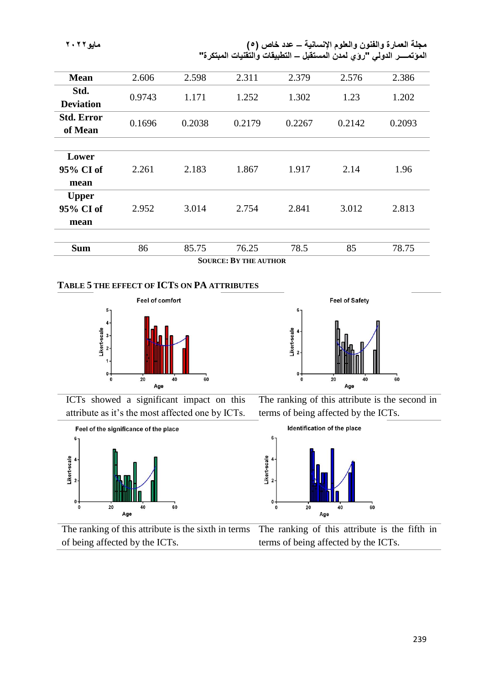|  |  | مايو ۲۰۲۲ |  |
|--|--|-----------|--|
|  |  |           |  |

**مجلة العمارة والفنون والعلوم اإلنسانية – عدد خاص )5( مايو2022 المؤتمــــر الدولي "رؤي لمدن المستقبل – التطبيقات والتقنيات المبتكرة"**

| <b>Mean</b>       | 2.606  | 2.598  | 2.311  | 2.379  | 2.576  | 2.386  |
|-------------------|--------|--------|--------|--------|--------|--------|
| Std.              | 0.9743 | 1.171  | 1.252  | 1.302  | 1.23   | 1.202  |
| <b>Deviation</b>  |        |        |        |        |        |        |
| <b>Std. Error</b> | 0.1696 | 0.2038 | 0.2179 | 0.2267 | 0.2142 | 0.2093 |
| of Mean           |        |        |        |        |        |        |
|                   |        |        |        |        |        |        |
| Lower             |        |        |        |        |        |        |
| 95% CI of         | 2.261  | 2.183  | 1.867  | 1.917  | 2.14   | 1.96   |
| mean              |        |        |        |        |        |        |
| <b>Upper</b>      |        |        |        |        |        |        |
| 95% CI of         | 2.952  | 3.014  | 2.754  | 2.841  | 3.012  | 2.813  |
| mean              |        |        |        |        |        |        |
|                   |        |        |        |        |        |        |
| <b>Sum</b>        | 86     | 85.75  | 76.25  | 78.5   | 85     | 78.75  |
|                   |        |        |        |        |        |        |

**SOURCE: BY THE AUTHOR**

#### **TABLE 5 THE EFFECT OF ICTS ON PA ATTRIBUTES**





ICTs showed a significant impact on this attribute as it's the most affected one by ICTs.

Feel of the significance of the place



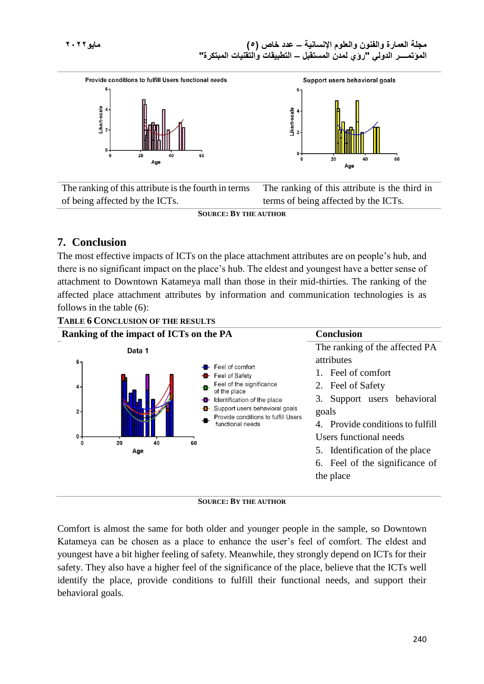



The ranking of this attribute is the fourth in terms of being affected by the ICTs.



**SOURCE: BY THE AUTHOR**

# **7. Conclusion**

The most effective impacts of ICTs on the place attachment attributes are on people's hub, and there is no significant impact on the place's hub. The eldest and youngest have a better sense of attachment to Downtown Katameya mall than those in their mid-thirties. The ranking of the affected place attachment attributes by information and communication technologies is as follows in the table (6):



**SOURCE: BY THE AUTHOR**

Comfort is almost the same for both older and younger people in the sample, so Downtown Katameya can be chosen as a place to enhance the user's feel of comfort. The eldest and youngest have a bit higher feeling of safety. Meanwhile, they strongly depend on ICTs for their safety. They also have a higher feel of the significance of the place, believe that the ICTs well identify the place, provide conditions to fulfill their functional needs, and support their behavioral goals.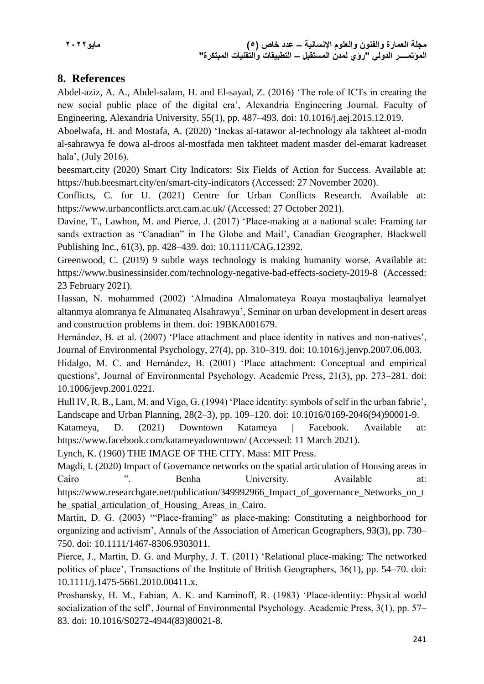# **8. References**

Abdel-aziz, A. A., Abdel-salam, H. and El-sayad, Z. (2016) 'The role of ICTs in creating the new social public place of the digital era', Alexandria Engineering Journal. Faculty of Engineering, Alexandria University, 55(1), pp. 487–493. doi: 10.1016/j.aej.2015.12.019.

Aboelwafa, H. and Mostafa, A. (2020) 'Inekas al-tatawor al-technology ala takhteet al-modn al-sahrawya fe dowa al-droos al-mostfada men takhteet madent masder del-emarat kadreaset hala', (July 2016).

beesmart.city (2020) Smart City Indicators: Six Fields of Action for Success. Available at: https://hub.beesmart.city/en/smart-city-indicators (Accessed: 27 November 2020).

Conflicts, C. for U. (2021) Centre for Urban Conflicts Research. Available at: https://www.urbanconflicts.arct.cam.ac.uk/ (Accessed: 27 October 2021).

Davine, T., Lawhon, M. and Pierce, J. (2017) 'Place-making at a national scale: Framing tar sands extraction as "Canadian" in The Globe and Mail', Canadian Geographer. Blackwell Publishing Inc., 61(3), pp. 428–439. doi: 10.1111/CAG.12392.

Greenwood, C. (2019) 9 subtle ways technology is making humanity worse. Available at: https://www.businessinsider.com/technology-negative-bad-effects-society-2019-8 (Accessed: 23 February 2021).

Hassan, N. mohammed (2002) 'Almadina Almalomateya Roaya mostaqbaliya leamalyet altanmya alomranya fe Almanateq Alsahrawya', Seminar on urban development in desert areas and construction problems in them. doi: 19BKA001679.

Hernández, B. et al. (2007) 'Place attachment and place identity in natives and non-natives', Journal of Environmental Psychology, 27(4), pp. 310–319. doi: 10.1016/j.jenvp.2007.06.003.

Hidalgo, M. C. and Hernández, B. (2001) 'Place attachment: Conceptual and empirical questions', Journal of Environmental Psychology. Academic Press, 21(3), pp. 273–281. doi: 10.1006/jevp.2001.0221.

Hull IV, R. B., Lam, M. and Vigo, G. (1994) 'Place identity: symbols of self in the urban fabric', Landscape and Urban Planning, 28(2–3), pp. 109–120. doi: 10.1016/0169-2046(94)90001-9.

Katameya, D. (2021) Downtown Katameya | Facebook. Available at: https://www.facebook.com/katameyadowntown/ (Accessed: 11 March 2021).

Lynch, K. (1960) THE IMAGE OF THE CITY. Mass: MIT Press.

Magdi, I. (2020) Impact of Governance networks on the spatial articulation of Housing areas in Cairo ". Benha University. Available at: https://www.researchgate.net/publication/349992966\_Impact\_of\_governance\_Networks\_on\_t he\_spatial\_articulation\_of\_Housing\_Areas\_in\_Cairo.

Martin, D. G. (2003) '"Place-framing" as place-making: Constituting a neighborhood for organizing and activism', Annals of the Association of American Geographers, 93(3), pp. 730– 750. doi: 10.1111/1467-8306.9303011.

Pierce, J., Martin, D. G. and Murphy, J. T. (2011) 'Relational place-making: The networked politics of place', Transactions of the Institute of British Geographers, 36(1), pp. 54–70. doi: 10.1111/j.1475-5661.2010.00411.x.

Proshansky, H. M., Fabian, A. K. and Kaminoff, R. (1983) 'Place-identity: Physical world socialization of the self', Journal of Environmental Psychology. Academic Press, 3(1), pp. 57– 83. doi: 10.1016/S0272-4944(83)80021-8.